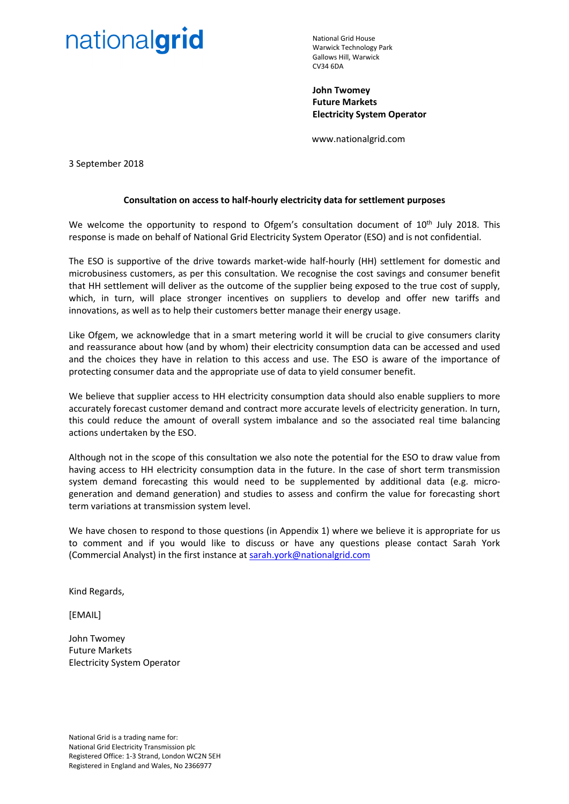# nationalgrid

National Grid House Warwick Technology Park Gallows Hill, Warwick CV34 6DA

**John Twomey Future Markets Electricity System Operator** 

www.nationalgrid.com

3 September 2018

### **Consultation on access to half-hourly electricity data for settlement purposes**

We welcome the opportunity to respond to Ofgem's consultation document of  $10<sup>th</sup>$  July 2018. This response is made on behalf of National Grid Electricity System Operator (ESO) and is not confidential.

The ESO is supportive of the drive towards market-wide half-hourly (HH) settlement for domestic and microbusiness customers, as per this consultation. We recognise the cost savings and consumer benefit that HH settlement will deliver as the outcome of the supplier being exposed to the true cost of supply, which, in turn, will place stronger incentives on suppliers to develop and offer new tariffs and innovations, as well as to help their customers better manage their energy usage.

Like Ofgem, we acknowledge that in a smart metering world it will be crucial to give consumers clarity and reassurance about how (and by whom) their electricity consumption data can be accessed and used and the choices they have in relation to this access and use. The ESO is aware of the importance of protecting consumer data and the appropriate use of data to yield consumer benefit.

We believe that supplier access to HH electricity consumption data should also enable suppliers to more accurately forecast customer demand and contract more accurate levels of electricity generation. In turn, this could reduce the amount of overall system imbalance and so the associated real time balancing actions undertaken by the ESO.

Although not in the scope of this consultation we also note the potential for the ESO to draw value from having access to HH electricity consumption data in the future. In the case of short term transmission system demand forecasting this would need to be supplemented by additional data (e.g. microgeneration and demand generation) and studies to assess and confirm the value for forecasting short term variations at transmission system level.

We have chosen to respond to those questions (in Appendix 1) where we believe it is appropriate for us to comment and if you would like to discuss or have any questions please contact Sarah York (Commercial Analyst) in the first instance at [sarah.york@nationalgrid.com](mailto:sarah.york@nationalgrid.com)

Kind Regards,

[EMAIL]

John Twomey Future Markets Electricity System Operator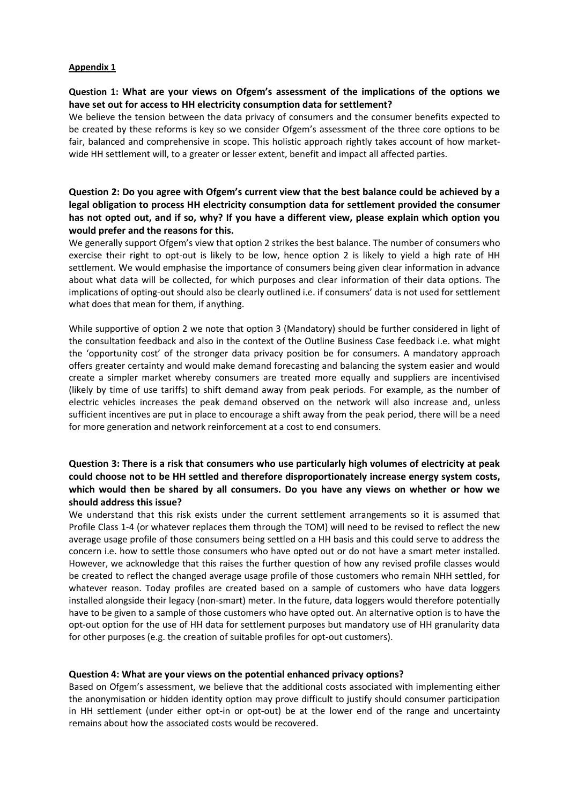#### **Appendix 1**

## **Question 1: What are your views on Ofgem's assessment of the implications of the options we have set out for access to HH electricity consumption data for settlement?**

We believe the tension between the data privacy of consumers and the consumer benefits expected to be created by these reforms is key so we consider Ofgem's assessment of the three core options to be fair, balanced and comprehensive in scope. This holistic approach rightly takes account of how marketwide HH settlement will, to a greater or lesser extent, benefit and impact all affected parties.

## **Question 2: Do you agree with Ofgem's current view that the best balance could be achieved by a legal obligation to process HH electricity consumption data for settlement provided the consumer has not opted out, and if so, why? If you have a different view, please explain which option you would prefer and the reasons for this.**

We generally support Ofgem's view that option 2 strikes the best balance. The number of consumers who exercise their right to opt-out is likely to be low, hence option 2 is likely to yield a high rate of HH settlement. We would emphasise the importance of consumers being given clear information in advance about what data will be collected, for which purposes and clear information of their data options. The implications of opting-out should also be clearly outlined i.e. if consumers' data is not used for settlement what does that mean for them, if anything.

While supportive of option 2 we note that option 3 (Mandatory) should be further considered in light of the consultation feedback and also in the context of the Outline Business Case feedback i.e. what might the 'opportunity cost' of the stronger data privacy position be for consumers. A mandatory approach offers greater certainty and would make demand forecasting and balancing the system easier and would create a simpler market whereby consumers are treated more equally and suppliers are incentivised (likely by time of use tariffs) to shift demand away from peak periods. For example, as the number of electric vehicles increases the peak demand observed on the network will also increase and, unless sufficient incentives are put in place to encourage a shift away from the peak period, there will be a need for more generation and network reinforcement at a cost to end consumers.

# **Question 3: There is a risk that consumers who use particularly high volumes of electricity at peak could choose not to be HH settled and therefore disproportionately increase energy system costs, which would then be shared by all consumers. Do you have any views on whether or how we should address this issue?**

We understand that this risk exists under the current settlement arrangements so it is assumed that Profile Class 1-4 (or whatever replaces them through the TOM) will need to be revised to reflect the new average usage profile of those consumers being settled on a HH basis and this could serve to address the concern i.e. how to settle those consumers who have opted out or do not have a smart meter installed. However, we acknowledge that this raises the further question of how any revised profile classes would be created to reflect the changed average usage profile of those customers who remain NHH settled, for whatever reason. Today profiles are created based on a sample of customers who have data loggers installed alongside their legacy (non-smart) meter. In the future, data loggers would therefore potentially have to be given to a sample of those customers who have opted out. An alternative option is to have the opt-out option for the use of HH data for settlement purposes but mandatory use of HH granularity data for other purposes (e.g. the creation of suitable profiles for opt-out customers).

## **Question 4: What are your views on the potential enhanced privacy options?**

Based on Ofgem's assessment, we believe that the additional costs associated with implementing either the anonymisation or hidden identity option may prove difficult to justify should consumer participation in HH settlement (under either opt-in or opt-out) be at the lower end of the range and uncertainty remains about how the associated costs would be recovered.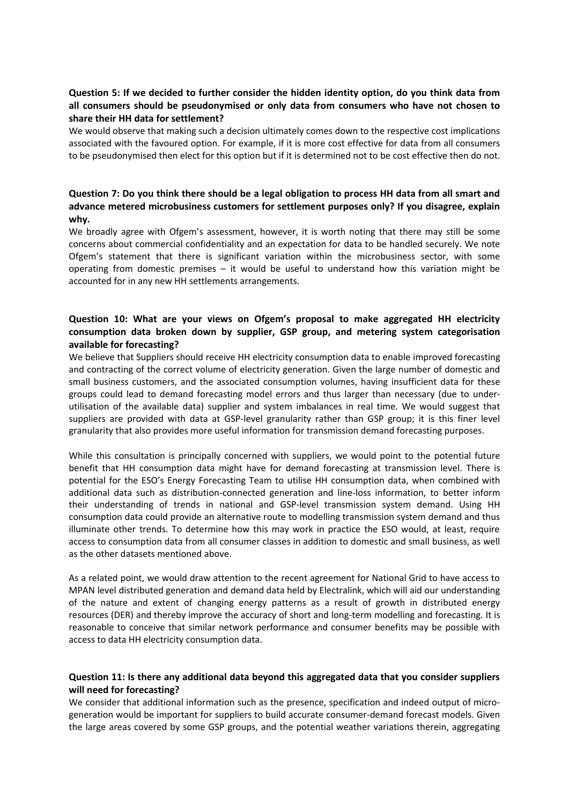## **Question 5: If we decided to further consider the hidden identity option, do you think data from all consumers should be pseudonymised or only data from consumers who have not chosen to share their HH data for settlement?**

We would observe that making such a decision ultimately comes down to the respective cost implications associated with the favoured option. For example, if it is more cost effective for data from all consumers to be pseudonymised then elect for this option but if it is determined not to be cost effective then do not.

# **Question 7: Do you think there should be a legal obligation to process HH data from all smart and advance metered microbusiness customers for settlement purposes only? If you disagree, explain why.**

We broadly agree with Ofgem's assessment, however, it is worth noting that there may still be some concerns about commercial confidentiality and an expectation for data to be handled securely. We note Ofgem's statement that there is significant variation within the microbusiness sector, with some operating from domestic premises – it would be useful to understand how this variation might be accounted for in any new HH settlements arrangements.

## **Question 10: What are your views on Ofgem's proposal to make aggregated HH electricity consumption data broken down by supplier, GSP group, and metering system categorisation available for forecasting?**

We believe that Suppliers should receive HH electricity consumption data to enable improved forecasting and contracting of the correct volume of electricity generation. Given the large number of domestic and small business customers, and the associated consumption volumes, having insufficient data for these groups could lead to demand forecasting model errors and thus larger than necessary (due to underutilisation of the available data) supplier and system imbalances in real time. We would suggest that suppliers are provided with data at GSP-level granularity rather than GSP group; it is this finer level granularity that also provides more useful information for transmission demand forecasting purposes.

While this consultation is principally concerned with suppliers, we would point to the potential future benefit that HH consumption data might have for demand forecasting at transmission level. There is potential for the ESO's Energy Forecasting Team to utilise HH consumption data, when combined with additional data such as distribution-connected generation and line-loss information, to better inform their understanding of trends in national and GSP-level transmission system demand. Using HH consumption data could provide an alternative route to modelling transmission system demand and thus illuminate other trends. To determine how this may work in practice the ESO would, at least, require access to consumption data from all consumer classes in addition to domestic and small business, as well as the other datasets mentioned above.

As a related point, we would draw attention to the recent agreement for National Grid to have access to MPAN level distributed generation and demand data held by Electralink, which will aid our understanding of the nature and extent of changing energy patterns as a result of growth in distributed energy resources (DER) and thereby improve the accuracy of short and long-term modelling and forecasting. It is reasonable to conceive that similar network performance and consumer benefits may be possible with access to data HH electricity consumption data.

## **Question 11: Is there any additional data beyond this aggregated data that you consider suppliers will need for forecasting?**

We consider that additional information such as the presence, specification and indeed output of microgeneration would be important for suppliers to build accurate consumer-demand forecast models. Given the large areas covered by some GSP groups, and the potential weather variations therein, aggregating